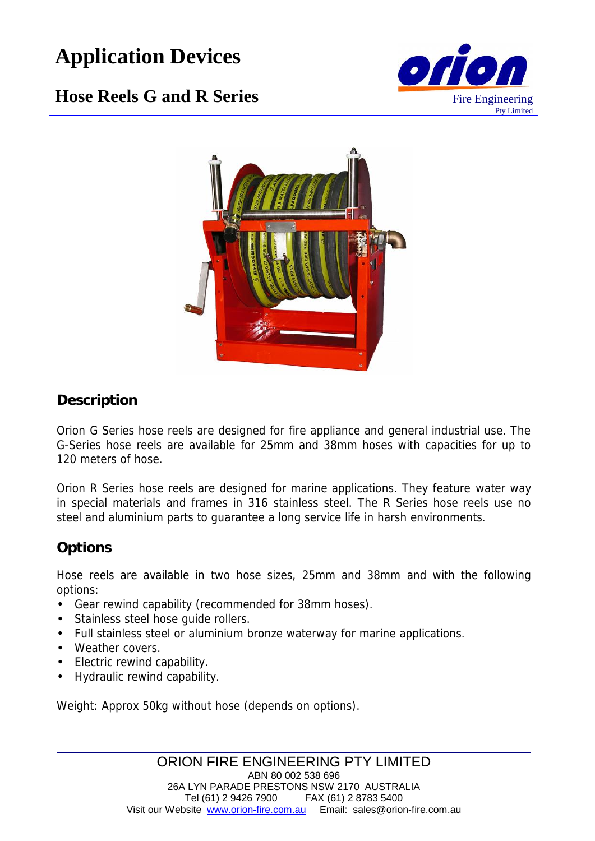# **Application Devices**



## **Hose Reels G and R Series** Fire Engineering



### **Description**

Orion G Series hose reels are designed for fire appliance and general industrial use. The G-Series hose reels are available for 25mm and 38mm hoses with capacities for up to 120 meters of hose.

Orion R Series hose reels are designed for marine applications. They feature water way in special materials and frames in 316 stainless steel. The R Series hose reels use no steel and aluminium parts to guarantee a long service life in harsh environments.

## **Options**

Hose reels are available in two hose sizes, 25mm and 38mm and with the following options:

- Gear rewind capability (recommended for 38mm hoses).
- Stainless steel hose quide rollers.
- Full stainless steel or aluminium bronze waterway for marine applications.
- Weather covers.
- Electric rewind capability.
- Hydraulic rewind capability.

Weight: Approx 50kg without hose (depends on options).